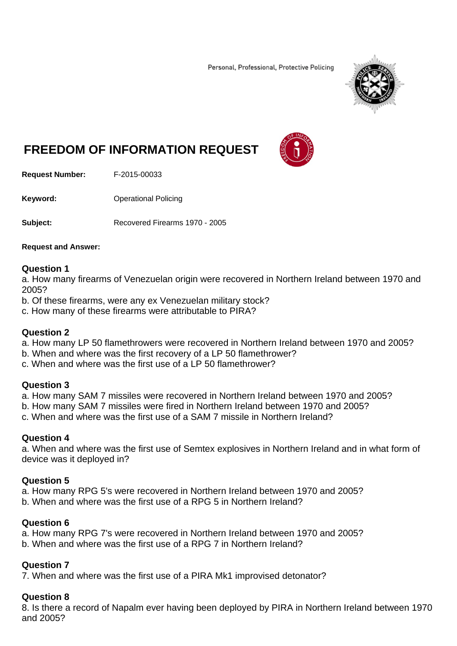Personal, Professional, Protective Policing



# **FREEDOM OF INFORMATION REQUEST**



**Request Number:** F-2015-00033

**Keyword: C**Derational Policing

**Subject:** Recovered Firearms 1970 - 2005

#### **Request and Answer:**

#### **Question 1**

a. How many firearms of Venezuelan origin were recovered in Northern Ireland between 1970 and 2005?

- b. Of these firearms, were any ex Venezuelan military stock?
- c. How many of these firearms were attributable to PIRA?

## **Question 2**

- a. How many LP 50 flamethrowers were recovered in Northern Ireland between 1970 and 2005?
- b. When and where was the first recovery of a LP 50 flamethrower?
- c. When and where was the first use of a LP 50 flamethrower?

## **Question 3**

a. How many SAM 7 missiles were recovered in Northern Ireland between 1970 and 2005?

- b. How many SAM 7 missiles were fired in Northern Ireland between 1970 and 2005?
- c. When and where was the first use of a SAM 7 missile in Northern Ireland?

## **Question 4**

a. When and where was the first use of Semtex explosives in Northern Ireland and in what form of device was it deployed in?

## **Question 5**

a. How many RPG 5's were recovered in Northern Ireland between 1970 and 2005?

b. When and where was the first use of a RPG 5 in Northern Ireland?

## **Question 6**

a. How many RPG 7's were recovered in Northern Ireland between 1970 and 2005? b. When and where was the first use of a RPG 7 in Northern Ireland?

## **Question 7**

7. When and where was the first use of a PIRA Mk1 improvised detonator?

## **Question 8**

8. Is there a record of Napalm ever having been deployed by PIRA in Northern Ireland between 1970 and 2005?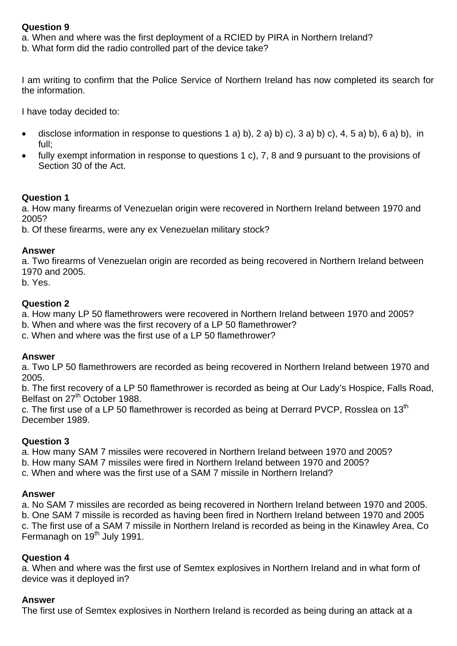## **Question 9**

a. When and where was the first deployment of a RCIED by PIRA in Northern Ireland?

b. What form did the radio controlled part of the device take?

I am writing to confirm that the Police Service of Northern Ireland has now completed its search for the information.

I have today decided to:

- disclose information in response to questions 1 a) b), 2 a) b) c), 3 a) b) c), 4, 5 a) b), 6 a) b), in full;
- fully exempt information in response to questions 1 c), 7, 8 and 9 pursuant to the provisions of Section 30 of the Act.

## **Question 1**

a. How many firearms of Venezuelan origin were recovered in Northern Ireland between 1970 and 2005?

b. Of these firearms, were any ex Venezuelan military stock?

#### **Answer**

a. Two firearms of Venezuelan origin are recorded as being recovered in Northern Ireland between 1970 and 2005.

b. Yes.

## **Question 2**

a. How many LP 50 flamethrowers were recovered in Northern Ireland between 1970 and 2005?

- b. When and where was the first recovery of a LP 50 flamethrower?
- c. When and where was the first use of a LP 50 flamethrower?

## **Answer**

a. Two LP 50 flamethrowers are recorded as being recovered in Northern Ireland between 1970 and 2005.

b. The first recovery of a LP 50 flamethrower is recorded as being at Our Lady's Hospice, Falls Road, Belfast on 27<sup>th</sup> October 1988.

c. The first use of a LP 50 flamethrower is recorded as being at Derrard PVCP, Rosslea on 13<sup>th</sup> December 1989.

## **Question 3**

a. How many SAM 7 missiles were recovered in Northern Ireland between 1970 and 2005?

- b. How many SAM 7 missiles were fired in Northern Ireland between 1970 and 2005?
- c. When and where was the first use of a SAM 7 missile in Northern Ireland?

## **Answer**

a. No SAM 7 missiles are recorded as being recovered in Northern Ireland between 1970 and 2005. b. One SAM 7 missile is recorded as having been fired in Northern Ireland between 1970 and 2005 c. The first use of a SAM 7 missile in Northern Ireland is recorded as being in the Kinawley Area, Co Fermanagh on 19<sup>th</sup> July 1991.

## **Question 4**

a. When and where was the first use of Semtex explosives in Northern Ireland and in what form of device was it deployed in?

## **Answer**

The first use of Semtex explosives in Northern Ireland is recorded as being during an attack at a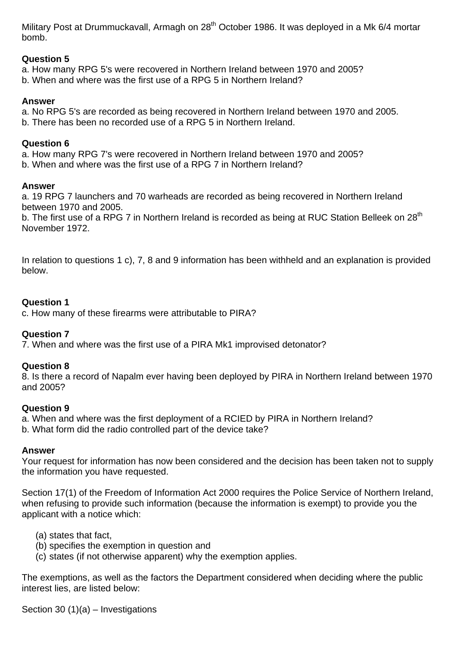Military Post at Drummuckavall, Armagh on 28<sup>th</sup> October 1986. It was deployed in a Mk 6/4 mortar bomb.

## **Question 5**

a. How many RPG 5's were recovered in Northern Ireland between 1970 and 2005?

b. When and where was the first use of a RPG 5 in Northern Ireland?

## **Answer**

a. No RPG 5's are recorded as being recovered in Northern Ireland between 1970 and 2005.

b. There has been no recorded use of a RPG 5 in Northern Ireland.

## **Question 6**

a. How many RPG 7's were recovered in Northern Ireland between 1970 and 2005?

b. When and where was the first use of a RPG 7 in Northern Ireland?

## **Answer**

a. 19 RPG 7 launchers and 70 warheads are recorded as being recovered in Northern Ireland between 1970 and 2005.

b. The first use of a RPG 7 in Northern Ireland is recorded as being at RUC Station Belleek on 28<sup>th</sup> November 1972.

In relation to questions 1 c), 7, 8 and 9 information has been withheld and an explanation is provided below.

## **Question 1**

c. How many of these firearms were attributable to PIRA?

## **Question 7**

7. When and where was the first use of a PIRA Mk1 improvised detonator?

## **Question 8**

8. Is there a record of Napalm ever having been deployed by PIRA in Northern Ireland between 1970 and 2005?

## **Question 9**

a. When and where was the first deployment of a RCIED by PIRA in Northern Ireland? b. What form did the radio controlled part of the device take?

# **Answer**

Your request for information has now been considered and the decision has been taken not to supply the information you have requested.

Section 17(1) of the Freedom of Information Act 2000 requires the Police Service of Northern Ireland, when refusing to provide such information (because the information is exempt) to provide you the applicant with a notice which:

- (a) states that fact,
- (b) specifies the exemption in question and
- (c) states (if not otherwise apparent) why the exemption applies.

The exemptions, as well as the factors the Department considered when deciding where the public interest lies, are listed below:

Section 30  $(1)(a)$  – Investigations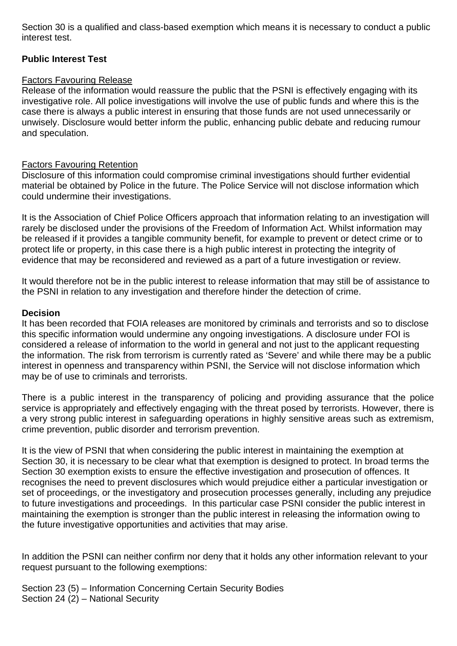Section 30 is a qualified and class-based exemption which means it is necessary to conduct a public interest test.

## **Public Interest Test**

## Factors Favouring Release

Release of the information would reassure the public that the PSNI is effectively engaging with its investigative role. All police investigations will involve the use of public funds and where this is the case there is always a public interest in ensuring that those funds are not used unnecessarily or unwisely. Disclosure would better inform the public, enhancing public debate and reducing rumour and speculation.

## Factors Favouring Retention

Disclosure of this information could compromise criminal investigations should further evidential material be obtained by Police in the future. The Police Service will not disclose information which could undermine their investigations.

It is the Association of Chief Police Officers approach that information relating to an investigation will rarely be disclosed under the provisions of the Freedom of Information Act. Whilst information may be released if it provides a tangible community benefit, for example to prevent or detect crime or to protect life or property, in this case there is a high public interest in protecting the integrity of evidence that may be reconsidered and reviewed as a part of a future investigation or review.

It would therefore not be in the public interest to release information that may still be of assistance to the PSNI in relation to any investigation and therefore hinder the detection of crime.

## **Decision**

It has been recorded that FOIA releases are monitored by criminals and terrorists and so to disclose this specific information would undermine any ongoing investigations. A disclosure under FOI is considered a release of information to the world in general and not just to the applicant requesting the information. The risk from terrorism is currently rated as 'Severe' and while there may be a public interest in openness and transparency within PSNI, the Service will not disclose information which may be of use to criminals and terrorists.

There is a public interest in the transparency of policing and providing assurance that the police service is appropriately and effectively engaging with the threat posed by terrorists. However, there is a very strong public interest in safeguarding operations in highly sensitive areas such as extremism, crime prevention, public disorder and terrorism prevention.

It is the view of PSNI that when considering the public interest in maintaining the exemption at Section 30, it is necessary to be clear what that exemption is designed to protect. In broad terms the Section 30 exemption exists to ensure the effective investigation and prosecution of offences. It recognises the need to prevent disclosures which would prejudice either a particular investigation or set of proceedings, or the investigatory and prosecution processes generally, including any prejudice to future investigations and proceedings. In this particular case PSNI consider the public interest in maintaining the exemption is stronger than the public interest in releasing the information owing to the future investigative opportunities and activities that may arise.

In addition the PSNI can neither confirm nor deny that it holds any other information relevant to your request pursuant to the following exemptions:

Section 23 (5) – Information Concerning Certain Security Bodies Section 24 (2) – National Security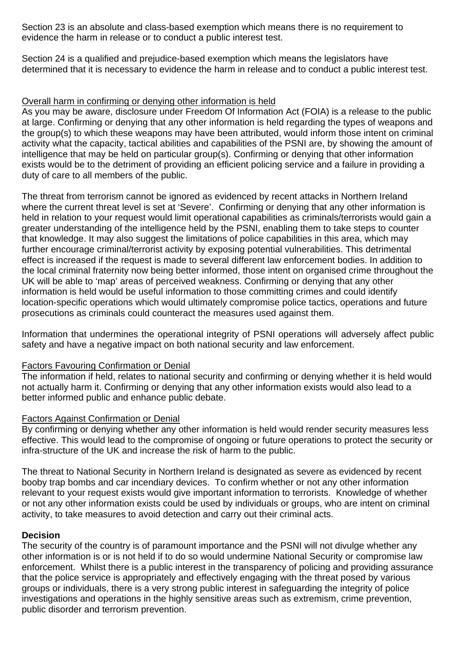Section 23 is an absolute and class-based exemption which means there is no requirement to evidence the harm in release or to conduct a public interest test.

Section 24 is a qualified and prejudice-based exemption which means the legislators have determined that it is necessary to evidence the harm in release and to conduct a public interest test.

## Overall harm in confirming or denying other information is held

As you may be aware, disclosure under Freedom Of Information Act (FOIA) is a release to the public at large. Confirming or denying that any other information is held regarding the types of weapons and the group(s) to which these weapons may have been attributed, would inform those intent on criminal activity what the capacity, tactical abilities and capabilities of the PSNI are, by showing the amount of intelligence that may be held on particular group(s). Confirming or denying that other information exists would be to the detriment of providing an efficient policing service and a failure in providing a duty of care to all members of the public.

The threat from terrorism cannot be ignored as evidenced by recent attacks in Northern Ireland where the current threat level is set at 'Severe'. Confirming or denying that any other information is held in relation to your request would limit operational capabilities as criminals/terrorists would gain a greater understanding of the intelligence held by the PSNI, enabling them to take steps to counter that knowledge. It may also suggest the limitations of police capabilities in this area, which may further encourage criminal/terrorist activity by exposing potential vulnerabilities. This detrimental effect is increased if the request is made to several different law enforcement bodies. In addition to the local criminal fraternity now being better informed, those intent on organised crime throughout the UK will be able to 'map' areas of perceived weakness. Confirming or denying that any other information is held would be useful information to those committing crimes and could identify location-specific operations which would ultimately compromise police tactics, operations and future prosecutions as criminals could counteract the measures used against them.

Information that undermines the operational integrity of PSNI operations will adversely affect public safety and have a negative impact on both national security and law enforcement.

## Factors Favouring Confirmation or Denial

The information if held, relates to national security and confirming or denying whether it is held would not actually harm it. Confirming or denying that any other information exists would also lead to a better informed public and enhance public debate.

## Factors Against Confirmation or Denial

By confirming or denying whether any other information is held would render security measures less effective. This would lead to the compromise of ongoing or future operations to protect the security or infra-structure of the UK and increase the risk of harm to the public.

The threat to National Security in Northern Ireland is designated as severe as evidenced by recent booby trap bombs and car incendiary devices. To confirm whether or not any other information relevant to your request exists would give important information to terrorists. Knowledge of whether or not any other information exists could be used by individuals or groups, who are intent on criminal activity, to take measures to avoid detection and carry out their criminal acts.

## **Decision**

The security of the country is of paramount importance and the PSNI will not divulge whether any other information is or is not held if to do so would undermine National Security or compromise law enforcement. Whilst there is a public interest in the transparency of policing and providing assurance that the police service is appropriately and effectively engaging with the threat posed by various groups or individuals, there is a very strong public interest in safeguarding the integrity of police investigations and operations in the highly sensitive areas such as extremism, crime prevention, public disorder and terrorism prevention.